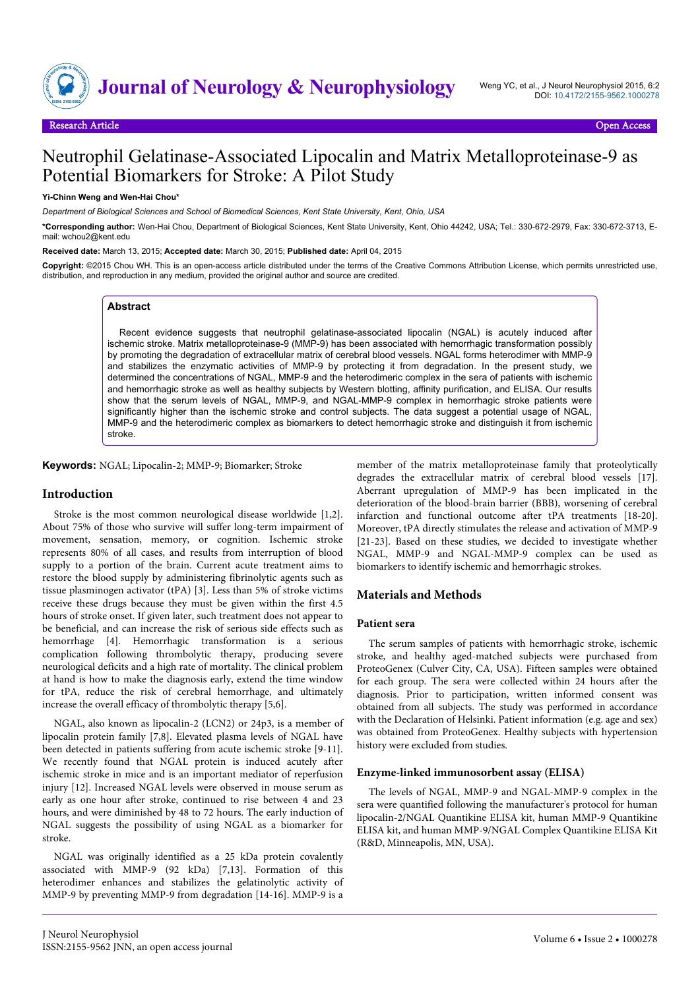

# Neutrophil Gelatinase-Associated Lipocalin and Matrix Metalloproteinase-9 as Potential Biomarkers for Stroke: A Pilot Study

#### **Yi-Chinn Weng and Wen-Hai Chou\***

*Department of Biological Sciences and School of Biomedical Sciences, Kent State University, Kent, Ohio, USA*

**\*Corresponding author:** Wen-Hai Chou, Department of Biological Sciences, Kent State University, Kent, Ohio 44242, USA; Tel.: 330-672-2979, Fax: 330-672-3713, Email: wchou2@kent.edu

**Received date:** March 13, 2015; **Accepted date:** March 30, 2015; **Published date:** April 04, 2015

**Copyright:** ©2015 Chou WH. This is an open-access article distributed under the terms of the Creative Commons Attribution License, which permits unrestricted use, distribution, and reproduction in any medium, provided the original author and source are credited.

## **Abstract**

Recent evidence suggests that neutrophil gelatinase-associated lipocalin (NGAL) is acutely induced after ischemic stroke. Matrix metalloproteinase-9 (MMP-9) has been associated with hemorrhagic transformation possibly by promoting the degradation of extracellular matrix of cerebral blood vessels. NGAL forms heterodimer with MMP-9 and stabilizes the enzymatic activities of MMP-9 by protecting it from degradation. In the present study, we determined the concentrations of NGAL, MMP-9 and the heterodimeric complex in the sera of patients with ischemic and hemorrhagic stroke as well as healthy subjects by Western blotting, affinity purification, and ELISA. Our results show that the serum levels of NGAL, MMP-9, and NGAL-MMP-9 complex in hemorrhagic stroke patients were significantly higher than the ischemic stroke and control subjects. The data suggest a potential usage of NGAL, MMP-9 and the heterodimeric complex as biomarkers to detect hemorrhagic stroke and distinguish it from ischemic stroke.

**Keywords:** NGAL; Lipocalin-2; MMP-9; Biomarker; Stroke

#### **Introduction**

Stroke is the most common neurological disease worldwide [1,2]. About 75% of those who survive will suffer long-term impairment of movement, sensation, memory, or cognition. Ischemic stroke represents 80% of all cases, and results from interruption of blood supply to a portion of the brain. Current acute treatment aims to restore the blood supply by administering fibrinolytic agents such as tissue plasminogen activator (tPA) [3]. Less than 5% of stroke victims receive these drugs because they must be given within the first 4.5 hours of stroke onset. If given later, such treatment does not appear to be beneficial, and can increase the risk of serious side effects such as hemorrhage [4]. Hemorrhagic transformation is a serious complication following thrombolytic therapy, producing severe neurological deficits and a high rate of mortality. The clinical problem at hand is how to make the diagnosis early, extend the time window for tPA, reduce the risk of cerebral hemorrhage, and ultimately increase the overall efficacy of thrombolytic therapy [5,6].

NGAL, also known as lipocalin-2 (LCN2) or 24p3, is a member of lipocalin protein family [7,8]. Elevated plasma levels of NGAL have been detected in patients suffering from acute ischemic stroke [9-11]. We recently found that NGAL protein is induced acutely after ischemic stroke in mice and is an important mediator of reperfusion injury [12]. Increased NGAL levels were observed in mouse serum as early as one hour after stroke, continued to rise between 4 and 23 hours, and were diminished by 48 to 72 hours. The early induction of NGAL suggests the possibility of using NGAL as a biomarker for stroke.

NGAL was originally identified as a 25 kDa protein covalently associated with MMP-9 (92 kDa) [7,13]. Formation of this heterodimer enhances and stabilizes the gelatinolytic activity of MMP-9 by preventing MMP-9 from degradation [14-16]. MMP-9 is a

member of the matrix metalloproteinase family that proteolytically degrades the extracellular matrix of cerebral blood vessels [17]. Aberrant upregulation of MMP-9 has been implicated in the deterioration of the blood-brain barrier (BBB), worsening of cerebral infarction and functional outcome after tPA treatments [18-20]. Moreover, tPA directly stimulates the release and activation of MMP-9 [21-23]. Based on these studies, we decided to investigate whether NGAL, MMP-9 and NGAL-MMP-9 complex can be used as biomarkers to identify ischemic and hemorrhagic strokes.

#### **Materials and Methods**

## **Patient sera**

The serum samples of patients with hemorrhagic stroke, ischemic stroke, and healthy aged-matched subjects were purchased from ProteoGenex (Culver City, CA, USA). Fifteen samples were obtained for each group. The sera were collected within 24 hours after the diagnosis. Prior to participation, written informed consent was obtained from all subjects. The study was performed in accordance with the Declaration of Helsinki. Patient information (e.g. age and sex) was obtained from ProteoGenex. Healthy subjects with hypertension history were excluded from studies.

#### **Enzyme-linked immunosorbent assay (ELISA)**

The levels of NGAL, MMP-9 and NGAL-MMP-9 complex in the sera were quantified following the manufacturer's protocol for human lipocalin-2/NGAL Quantikine ELISA kit, human MMP-9 Quantikine ELISA kit, and human MMP-9/NGAL Complex Quantikine ELISA Kit (R&D, Minneapolis, MN, USA).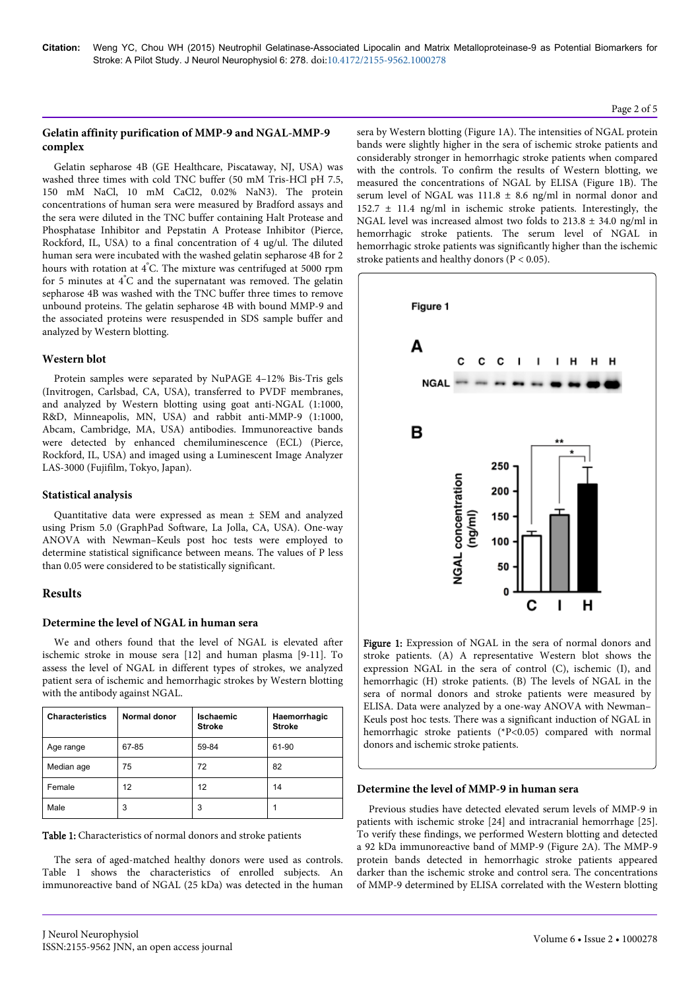## **Gelatin affinity purification of MMP-9 and NGAL-MMP-9 complex**

Gelatin sepharose 4B (GE Healthcare, Piscataway, NJ, USA) was washed three times with cold TNC buffer (50 mM Tris-HCl pH 7.5, 150 mM NaCl, 10 mM CaCl2, 0.02% NaN3). The protein concentrations of human sera were measured by Bradford assays and the sera were diluted in the TNC buffer containing Halt Protease and Phosphatase Inhibitor and Pepstatin A Protease Inhibitor (Pierce, Rockford, IL, USA) to a final concentration of 4 ug/ul. The diluted human sera were incubated with the washed gelatin sepharose 4B for 2 hours with rotation at 4°C. The mixture was centrifuged at 5000 rpm for 5 minutes at 4°C and the supernatant was removed. The gelatin sepharose 4B was washed with the TNC buffer three times to remove unbound proteins. The gelatin sepharose 4B with bound MMP-9 and the associated proteins were resuspended in SDS sample buffer and analyzed by Western blotting.

# **Western blot**

Protein samples were separated by NuPAGE 4–12% Bis-Tris gels (Invitrogen, Carlsbad, CA, USA), transferred to PVDF membranes, and analyzed by Western blotting using goat anti-NGAL (1:1000, R&D, Minneapolis, MN, USA) and rabbit anti-MMP-9 (1:1000, Abcam, Cambridge, MA, USA) antibodies. Immunoreactive bands were detected by enhanced chemiluminescence (ECL) (Pierce, Rockford, IL, USA) and imaged using a Luminescent Image Analyzer LAS-3000 (Fujifilm, Tokyo, Japan).

# **Statistical analysis**

Quantitative data were expressed as mean ± SEM and analyzed using Prism 5.0 (GraphPad Software, La Jolla, CA, USA). One-way ANOVA with Newman–Keuls post hoc tests were employed to determine statistical significance between means. The values of P less than 0.05 were considered to be statistically significant.

# **Results**

# **Determine the level of NGAL in human sera**

We and others found that the level of NGAL is elevated after ischemic stroke in mouse sera [12] and human plasma [9-11]. To assess the level of NGAL in different types of strokes, we analyzed patient sera of ischemic and hemorrhagic strokes by Western blotting with the antibody against NGAL.

| <b>Characteristics</b> | Normal donor | <b>Ischaemic</b><br><b>Stroke</b> | Haemorrhagic<br><b>Stroke</b> |
|------------------------|--------------|-----------------------------------|-------------------------------|
| Age range              | 67-85        | 59-84                             | 61-90                         |
| Median age             | 75           | 72                                | 82                            |
| Female                 | 12           | 12                                | 14                            |
| Male                   | 3            | 3                                 |                               |

Table 1: Characteristics of normal donors and stroke patients

The sera of aged-matched healthy donors were used as controls. Table 1 shows the characteristics of enrolled subjects. An immunoreactive band of NGAL (25 kDa) was detected in the human

sera by Western blotting (Figure 1A). The intensities of NGAL protein bands were slightly higher in the sera of ischemic stroke patients and considerably stronger in hemorrhagic stroke patients when compared with the controls. To confirm the results of Western blotting, we measured the concentrations of NGAL by ELISA (Figure 1B). The serum level of NGAL was  $111.8 \pm 8.6$  ng/ml in normal donor and  $152.7 \pm 11.4$  ng/ml in ischemic stroke patients. Interestingly, the NGAL level was increased almost two folds to  $213.8 \pm 34.0$  ng/ml in hemorrhagic stroke patients. The serum level of NGAL in hemorrhagic stroke patients was significantly higher than the ischemic stroke patients and healthy donors (P < 0.05).



Figure 1: Expression of NGAL in the sera of normal donors and stroke patients. (A) A representative Western blot shows the expression NGAL in the sera of control (C), ischemic (I), and hemorrhagic (H) stroke patients. (B) The levels of NGAL in the sera of normal donors and stroke patients were measured by ELISA. Data were analyzed by a one-way ANOVA with Newman– Keuls post hoc tests. There was a significant induction of NGAL in hemorrhagic stroke patients (\*P<0.05) compared with normal donors and ischemic stroke patients.

## **Determine the level of MMP-9 in human sera**

Previous studies have detected elevated serum levels of MMP-9 in patients with ischemic stroke [24] and intracranial hemorrhage [25]. To verify these findings, we performed Western blotting and detected a 92 kDa immunoreactive band of MMP-9 (Figure 2A). The MMP-9 protein bands detected in hemorrhagic stroke patients appeared darker than the ischemic stroke and control sera. The concentrations of MMP-9 determined by ELISA correlated with the Western blotting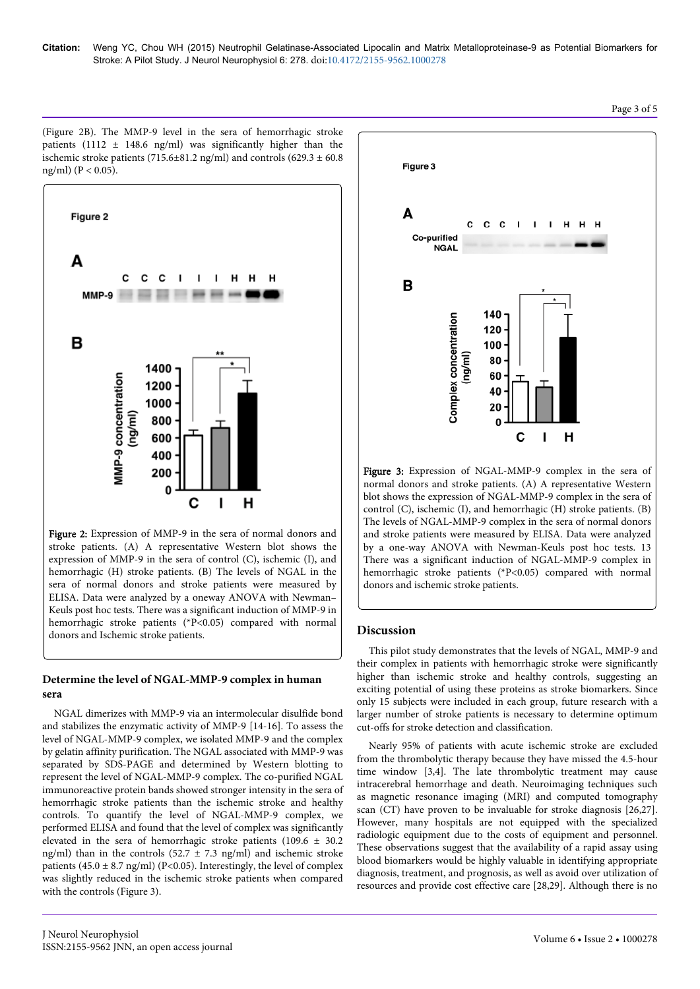**Citation:** Weng YC, Chou WH (2015) Neutrophil Gelatinase-Associated Lipocalin and Matrix Metalloproteinase-9 as Potential Biomarkers for Stroke: A Pilot Study. J Neurol Neurophysiol 6: 278. doi:10.4172/2155-9562.1000278

(Figure 2B). The MMP-9 level in the sera of hemorrhagic stroke patients (1112  $\pm$  148.6 ng/ml) was significantly higher than the ischemic stroke patients (715.6 $\pm$ 81.2 ng/ml) and controls (629.3  $\pm$  60.8 ng/ml) ( $P < 0.05$ ).



Figure 2: Expression of MMP-9 in the sera of normal donors and stroke patients. (A) A representative Western blot shows the expression of MMP-9 in the sera of control (C), ischemic (I), and hemorrhagic (H) stroke patients. (B) The levels of NGAL in the sera of normal donors and stroke patients were measured by ELISA. Data were analyzed by a oneway ANOVA with Newman– Keuls post hoc tests. There was a significant induction of MMP-9 in hemorrhagic stroke patients (\*P<0.05) compared with normal donors and Ischemic stroke patients.

# **Determine the level of NGAL-MMP-9 complex in human sera**

NGAL dimerizes with MMP-9 via an intermolecular disulfide bond and stabilizes the enzymatic activity of MMP-9 [14-16]. To assess the level of NGAL-MMP-9 complex, we isolated MMP-9 and the complex by gelatin affinity purification. The NGAL associated with MMP-9 was separated by SDS-PAGE and determined by Western blotting to represent the level of NGAL-MMP-9 complex. The co-purified NGAL immunoreactive protein bands showed stronger intensity in the sera of hemorrhagic stroke patients than the ischemic stroke and healthy controls. To quantify the level of NGAL-MMP-9 complex, we performed ELISA and found that the level of complex was significantly elevated in the sera of hemorrhagic stroke patients (109.6  $\pm$  30.2 ng/ml) than in the controls (52.7  $\pm$  7.3 ng/ml) and ischemic stroke patients (45.0  $\pm$  8.7 ng/ml) (P<0.05). Interestingly, the level of complex was slightly reduced in the ischemic stroke patients when compared with the controls (Figure 3).

J Neurol Neurophysiol



Figure 3: Expression of NGAL-MMP-9 complex in the sera of normal donors and stroke patients. (A) A representative Western blot shows the expression of NGAL-MMP-9 complex in the sera of control (C), ischemic (I), and hemorrhagic (H) stroke patients. (B) The levels of NGAL-MMP-9 complex in the sera of normal donors and stroke patients were measured by ELISA. Data were analyzed by a one-way ANOVA with Newman-Keuls post hoc tests. 13 There was a significant induction of NGAL-MMP-9 complex in hemorrhagic stroke patients (\*P<0.05) compared with normal donors and ischemic stroke patients.

#### **Discussion**

This pilot study demonstrates that the levels of NGAL, MMP-9 and their complex in patients with hemorrhagic stroke were significantly higher than ischemic stroke and healthy controls, suggesting an exciting potential of using these proteins as stroke biomarkers. Since only 15 subjects were included in each group, future research with a larger number of stroke patients is necessary to determine optimum cut-offs for stroke detection and classification.

Nearly 95% of patients with acute ischemic stroke are excluded from the thrombolytic therapy because they have missed the 4.5-hour time window [3,4]. The late thrombolytic treatment may cause intracerebral hemorrhage and death. Neuroimaging techniques such as magnetic resonance imaging (MRI) and computed tomography scan (CT) have proven to be invaluable for stroke diagnosis [26,27]. However, many hospitals are not equipped with the specialized radiologic equipment due to the costs of equipment and personnel. These observations suggest that the availability of a rapid assay using blood biomarkers would be highly valuable in identifying appropriate diagnosis, treatment, and prognosis, as well as avoid over utilization of resources and provide cost effective care [28,29]. Although there is no

#### Page 3 of 5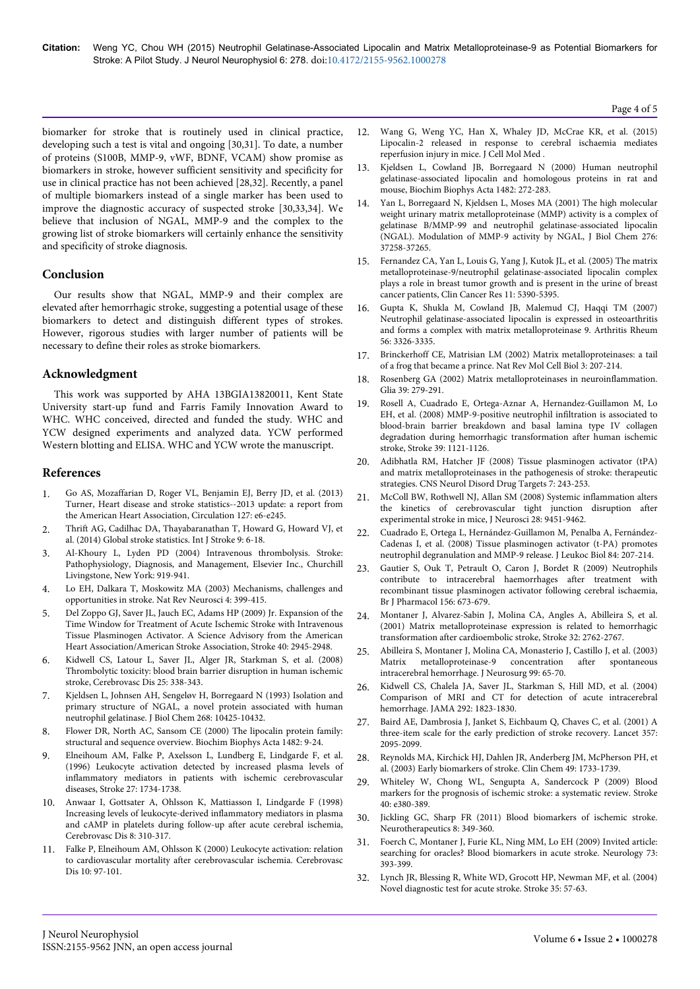biomarker for stroke that is routinely used in clinical practice, developing such a test is vital and ongoing [30,31]. To date, a number of proteins (S100B, MMP-9, vWF, BDNF, VCAM) show promise as biomarkers in stroke, however sufficient sensitivity and specificity for use in clinical practice has not been achieved [28,32]. Recently, a panel of multiple biomarkers instead of a single marker has been used to improve the diagnostic accuracy of suspected stroke [30,33,34]. We believe that inclusion of NGAL, MMP-9 and the complex to the growing list of stroke biomarkers will certainly enhance the sensitivity and specificity of stroke diagnosis.

# **Conclusion**

Our results show that NGAL, MMP-9 and their complex are elevated after hemorrhagic stroke, suggesting a potential usage of these biomarkers to detect and distinguish different types of strokes. However, rigorous studies with larger number of patients will be necessary to define their roles as stroke biomarkers.

# **Acknowledgment**

This work was supported by AHA 13BGIA13820011, Kent State University start-up fund and Farris Family Innovation Award to WHC. WHC conceived, directed and funded the study. WHC and YCW designed experiments and analyzed data. YCW performed Western blotting and ELISA. WHC and YCW wrote the manuscript.

# **References**

- 1. [Go AS, Mozaffarian D, Roger VL, Benjamin EJ, Berry JD, et al. \(2013\)](http://www.ncbi.nlm.nih.gov/pubmed/23239837) [Turner, Heart disease and stroke statistics--2013 update: a report from](http://www.ncbi.nlm.nih.gov/pubmed/23239837) [the American Heart Association, Circulation 127: e6-e245.](http://www.ncbi.nlm.nih.gov/pubmed/23239837)
- 2. [Thrift AG, Cadilhac DA, Thayabaranathan T, Howard G, Howard VJ, et](http://www.ncbi.nlm.nih.gov/pubmed/24350870) [al. \(2014\) Global stroke statistics. Int J Stroke 9: 6-18.](http://www.ncbi.nlm.nih.gov/pubmed/24350870)
- 3. Al-Khoury L, Lyden PD (2004) Intravenous thrombolysis. Stroke: Pathophysiology, Diagnosis, and Management, Elsevier Inc., Churchill Livingstone, New York: 919-941.
- 4. [Lo EH, Dalkara T, Moskowitz MA \(2003\) Mechanisms, challenges and](http://www.ncbi.nlm.nih.gov/pubmed/12728267) [opportunities in stroke. Nat Rev Neurosci 4: 399-415.](http://www.ncbi.nlm.nih.gov/pubmed/12728267)
- 5. Del Zoppo GJ, Saver JL, Jauch EC, Adams HP (2009) Jr. Expansion of the Time Window for Treatment of Acute Ischemic Stroke with Intravenous Tissue Plasminogen Activator. A Science Advisory from the American Heart Association/American Stroke Association, Stroke 40: 2945-2948.
- 6. [Kidwell CS, Latour L, Saver JL, Alger JR, Starkman S, et al. \(2008\)](http://www.ncbi.nlm.nih.gov/pubmed/18303253) [Thrombolytic toxicity: blood brain barrier disruption in human ischemic](http://www.ncbi.nlm.nih.gov/pubmed/18303253) [stroke, Cerebrovasc Dis 25: 338-343.](http://www.ncbi.nlm.nih.gov/pubmed/18303253)
- 7. [Kjeldsen L, Johnsen AH, Sengeløv H, Borregaard N \(1993\) Isolation and](http://www.ncbi.nlm.nih.gov/pubmed/7683678) [primary structure of NGAL, a novel protein associated with human](http://www.ncbi.nlm.nih.gov/pubmed/7683678) [neutrophil gelatinase. J Biol Chem 268: 10425-10432.](http://www.ncbi.nlm.nih.gov/pubmed/7683678)
- 8. [Flower DR, North AC, Sansom CE \(2000\) The lipocalin protein family:](http://www.ncbi.nlm.nih.gov/pubmed/11058743) [structural and sequence overview. Biochim Biophys Acta 1482: 9-24.](http://www.ncbi.nlm.nih.gov/pubmed/11058743)
- 9. [Elneihoum AM, Falke P, Axelsson L, Lundberg E, Lindgarde F, et al.](http://www.ncbi.nlm.nih.gov/pubmed/8841320) [\(1996\) Leukocyte activation detected by increased plasma levels of](http://www.ncbi.nlm.nih.gov/pubmed/8841320) [inflammatory mediators in patients with ischemic cerebrovascular](http://www.ncbi.nlm.nih.gov/pubmed/8841320) [diseases, Stroke 27: 1734-1738.](http://www.ncbi.nlm.nih.gov/pubmed/8841320)
- 10. [Anwaar I, Gottsater A, Ohlsson K, Mattiasson I, Lindgarde F \(1998\)](http://www.ncbi.nlm.nih.gov/pubmed/9774747) [Increasing levels of leukocyte-derived inflammatory mediators in plasma](http://www.ncbi.nlm.nih.gov/pubmed/9774747) [and cAMP in platelets during follow-up after acute cerebral ischemia,](http://www.ncbi.nlm.nih.gov/pubmed/9774747) [Cerebrovasc Dis 8: 310-317.](http://www.ncbi.nlm.nih.gov/pubmed/9774747)
- 11. [Falke P, Elneihoum AM, Ohlsson K \(2000\) Leukocyte activation: relation](http://www.ncbi.nlm.nih.gov/pubmed/10686447) [to cardiovascular mortality after cerebrovascular ischemia. Cerebrovasc](http://www.ncbi.nlm.nih.gov/pubmed/10686447) [Dis 10: 97-101.](http://www.ncbi.nlm.nih.gov/pubmed/10686447)
- 12. [Wang G, Weng YC, Han X, Whaley JD, McCrae KR, et al. \(2015\)](http://www.ncbi.nlm.nih.gov/pubmed/25702801) [Lipocalin-2 released in response to cerebral ischaemia mediates](http://www.ncbi.nlm.nih.gov/pubmed/25702801) [reperfusion injury in mice. J Cell Mol Med .](http://www.ncbi.nlm.nih.gov/pubmed/25702801)
- 13. [Kjeldsen L, Cowland JB, Borregaard N \(2000\) Human neutrophil](http://www.ncbi.nlm.nih.gov/pubmed/11058768) [gelatinase-associated lipocalin and homologous proteins in rat and](http://www.ncbi.nlm.nih.gov/pubmed/11058768) [mouse, Biochim Biophys Acta 1482: 272-283.](http://www.ncbi.nlm.nih.gov/pubmed/11058768)
- 14. [Yan L, Borregaard N, Kjeldsen L, Moses MA \(2001\) The high molecular](http://www.ncbi.nlm.nih.gov/pubmed/11486009) [weight urinary matrix metalloproteinase \(MMP\) activity is a complex of](http://www.ncbi.nlm.nih.gov/pubmed/11486009) [gelatinase B/MMP-99 and neutrophil gelatinase-associated lipocalin](http://www.ncbi.nlm.nih.gov/pubmed/11486009) [\(NGAL\). Modulation of MMP-9 activity by NGAL, J Biol Chem 276:](http://www.ncbi.nlm.nih.gov/pubmed/11486009) [37258-37265.](http://www.ncbi.nlm.nih.gov/pubmed/11486009)
- 15. [Fernandez CA, Yan L, Louis G, Yang J, Kutok JL, et al. \(2005\) The matrix](http://www.ncbi.nlm.nih.gov/pubmed/16061852) [metalloproteinase-9/neutrophil gelatinase-associated lipocalin complex](http://www.ncbi.nlm.nih.gov/pubmed/16061852) [plays a role in breast tumor growth and is present in the urine of breast](http://www.ncbi.nlm.nih.gov/pubmed/16061852) [cancer patients, Clin Cancer Res 11: 5390-5395.](http://www.ncbi.nlm.nih.gov/pubmed/16061852)
- 16. [Gupta K, Shukla M, Cowland JB, Malemud CJ, Haqqi TM \(2007\)](http://www.ncbi.nlm.nih.gov/pubmed/17907186) [Neutrophil gelatinase-associated lipocalin is expressed in osteoarthritis](http://www.ncbi.nlm.nih.gov/pubmed/17907186) [and forms a complex with matrix metalloproteinase 9. Arthritis Rheum](http://www.ncbi.nlm.nih.gov/pubmed/17907186) [56: 3326-3335.](http://www.ncbi.nlm.nih.gov/pubmed/17907186)
- 17. [Brinckerhoff CE, Matrisian LM \(2002\) Matrix metalloproteinases: a tail](http://www.ncbi.nlm.nih.gov/pubmed/11994741) [of a frog that became a prince. Nat Rev Mol Cell Biol 3: 207-214.](http://www.ncbi.nlm.nih.gov/pubmed/11994741)
- 18. [Rosenberg GA \(2002\) Matrix metalloproteinases in neuroinflammation.](http://www.ncbi.nlm.nih.gov/pubmed/12203394) [Glia 39: 279-291.](http://www.ncbi.nlm.nih.gov/pubmed/12203394)
- 19. [Rosell A, Cuadrado E, Ortega-Aznar A, Hernandez-Guillamon M, Lo](http://www.ncbi.nlm.nih.gov/pubmed/18323498) [EH, et al. \(2008\) MMP-9-positive neutrophil infiltration is associated to](http://www.ncbi.nlm.nih.gov/pubmed/18323498) [blood-brain barrier breakdown and basal lamina type IV collagen](http://www.ncbi.nlm.nih.gov/pubmed/18323498) [degradation during hemorrhagic transformation after human ischemic](http://www.ncbi.nlm.nih.gov/pubmed/18323498) [stroke, Stroke 39: 1121-1126.](http://www.ncbi.nlm.nih.gov/pubmed/18323498)
- 20. [Adibhatla RM, Hatcher JF \(2008\) Tissue plasminogen activator \(tPA\)](http://www.ncbi.nlm.nih.gov/pubmed/18673209) [and matrix metalloproteinases in the pathogenesis of stroke: therapeutic](http://www.ncbi.nlm.nih.gov/pubmed/18673209) [strategies. CNS Neurol Disord Drug Targets 7: 243-253.](http://www.ncbi.nlm.nih.gov/pubmed/18673209)
- 21. [McColl BW, Rothwell NJ, Allan SM \(2008\) Systemic inflammation alters](http://www.ncbi.nlm.nih.gov/pubmed/18799677) [the kinetics of cerebrovascular tight junction disruption after](http://www.ncbi.nlm.nih.gov/pubmed/18799677) [experimental stroke in mice, J Neurosci 28: 9451-9462.](http://www.ncbi.nlm.nih.gov/pubmed/18799677)
- 22. [Cuadrado E, Ortega L, Hernández-Guillamon M, Penalba A, Fernández-](http://www.ncbi.nlm.nih.gov/pubmed/18390930)[Cadenas I, et al. \(2008\) Tissue plasminogen activator \(t-PA\) promotes](http://www.ncbi.nlm.nih.gov/pubmed/18390930) [neutrophil degranulation and MMP-9 release. J Leukoc Biol 84: 207-214.](http://www.ncbi.nlm.nih.gov/pubmed/18390930)
- 23. [Gautier S, Ouk T, Petrault O, Caron J, Bordet R \(2009\) Neutrophils](http://www.ncbi.nlm.nih.gov/pubmed/19210512) [contribute to intracerebral haemorrhages after treatment with](http://www.ncbi.nlm.nih.gov/pubmed/19210512) [recombinant tissue plasminogen activator following cerebral ischaemia,](http://www.ncbi.nlm.nih.gov/pubmed/19210512) [Br J Pharmacol 156: 673-679.](http://www.ncbi.nlm.nih.gov/pubmed/19210512)
- 24. [Montaner J, Alvarez-Sabin J, Molina CA, Angles A, Abilleira S, et al.](http://www.ncbi.nlm.nih.gov/pubmed/11739970) [\(2001\) Matrix metalloproteinase expression is related to hemorrhagic](http://www.ncbi.nlm.nih.gov/pubmed/11739970) [transformation after cardioembolic stroke, Stroke 32: 2762-2767.](http://www.ncbi.nlm.nih.gov/pubmed/11739970)
- 25. [Abilleira S, Montaner J, Molina CA, Monasterio J, Castillo J, et al. \(2003\)](http://www.ncbi.nlm.nih.gov/pubmed/12854746) Matrix metalloproteinase-9 concentration [intracerebral hemorrhage. J Neurosurg 99: 65-70.](http://www.ncbi.nlm.nih.gov/pubmed/12854746)
- 26. [Kidwell CS, Chalela JA, Saver JL, Starkman S, Hill MD, et al. \(2004\)](http://www.ncbi.nlm.nih.gov/pubmed/15494579) [Comparison of MRI and CT for detection of acute intracerebral](http://www.ncbi.nlm.nih.gov/pubmed/15494579) [hemorrhage. JAMA 292: 1823-1830.](http://www.ncbi.nlm.nih.gov/pubmed/15494579)
- 27. [Baird AE, Dambrosia J, Janket S, Eichbaum Q, Chaves C, et al. \(2001\) A](http://www.ncbi.nlm.nih.gov/pubmed/11445104) [three-item scale for the early prediction of stroke recovery. Lancet 357:](http://www.ncbi.nlm.nih.gov/pubmed/11445104) [2095-2099.](http://www.ncbi.nlm.nih.gov/pubmed/11445104)
- 28. [Reynolds MA, Kirchick HJ, Dahlen JR, Anderberg JM, McPherson PH, et](http://www.ncbi.nlm.nih.gov/pubmed/14500614) [al. \(2003\) Early biomarkers of stroke. Clin Chem 49: 1733-1739.](http://www.ncbi.nlm.nih.gov/pubmed/14500614)
- 29. [Whiteley W, Chong WL, Sengupta A, Sandercock P \(2009\) Blood](http://www.ncbi.nlm.nih.gov/pubmed/19286602) [markers for the prognosis of ischemic stroke: a systematic review. Stroke](http://www.ncbi.nlm.nih.gov/pubmed/19286602) [40: e380-389.](http://www.ncbi.nlm.nih.gov/pubmed/19286602)
- 30. [Jickling GC, Sharp FR \(2011\) Blood biomarkers of ischemic stroke.](http://www.ncbi.nlm.nih.gov/pubmed/21671123) [Neurotherapeutics 8: 349-360.](http://www.ncbi.nlm.nih.gov/pubmed/21671123)
- 31. [Foerch C, Montaner J, Furie KL, Ning MM, Lo EH \(2009\) Invited article:](http://www.ncbi.nlm.nih.gov/pubmed/19652144) [searching for oracles? Blood biomarkers in acute stroke. Neurology 73:](http://www.ncbi.nlm.nih.gov/pubmed/19652144) [393-399.](http://www.ncbi.nlm.nih.gov/pubmed/19652144)
- 32. [Lynch JR, Blessing R, White WD, Grocott HP, Newman MF, et al. \(2004\)](http://www.ncbi.nlm.nih.gov/pubmed/14671250) [Novel diagnostic test for acute stroke. Stroke 35: 57-63.](http://www.ncbi.nlm.nih.gov/pubmed/14671250)